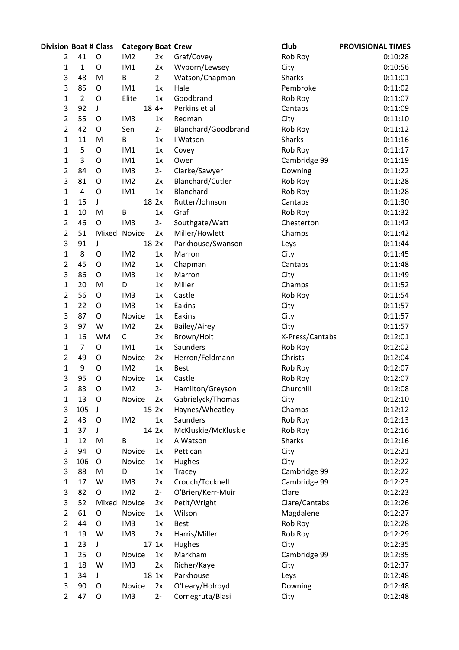| <b>Division Boat # Class</b> |                |             | <b>Category Boat Crew</b> |        |                     | Club            | <b>PROVISIONAL TIMES</b> |
|------------------------------|----------------|-------------|---------------------------|--------|---------------------|-----------------|--------------------------|
| 2                            | 41             | O           | IM <sub>2</sub>           | 2x     | Graf/Covey          | Rob Roy         | 0:10:28                  |
| 1                            | $\mathbf{1}$   | O           | IM1                       | 2x     | Wyborn/Lewsey       | City            | 0:10:56                  |
| 3                            | 48             | M           | B                         | $2 -$  | Watson/Chapman      | <b>Sharks</b>   | 0:11:01                  |
| 3                            | 85             | O           | IM1                       | 1x     | Hale                | Pembroke        | 0:11:02                  |
| 1                            | $\overline{2}$ | O           | Elite                     | 1x     | Goodbrand           | Rob Roy         | 0:11:07                  |
| 3                            | 92             | J           |                           | $184+$ | Perkins et al       | Cantabs         | 0:11:09                  |
| 2                            | 55             | O           | IM <sub>3</sub>           | 1x     | Redman              | City            | 0:11:10                  |
| 2                            | 42             | O           | Sen                       | $2 -$  | Blanchard/Goodbrand | Rob Roy         | 0:11:12                  |
| 1                            | 11             | M           | B                         | 1x     | I Watson            | <b>Sharks</b>   | 0:11:16                  |
| 1                            | 5              | O           | IM1                       | 1x     | Covey               | Rob Roy         | 0:11:17                  |
| 1                            | 3              | O           | IM1                       | 1x     | Owen                | Cambridge 99    | 0:11:19                  |
| 2                            | 84             | O           | IM <sub>3</sub>           | $2 -$  | Clarke/Sawyer       | Downing         | 0:11:22                  |
| 3                            | 81             | O           | IM <sub>2</sub>           | 2x     | Blanchard/Cutler    | Rob Roy         | 0:11:28                  |
| 1                            | 4              | O           | IM1                       | 1x     | Blanchard           | Rob Roy         | 0:11:28                  |
| 1                            | 15             | J           |                           | 18 2x  | Rutter/Johnson      | Cantabs         | 0:11:30                  |
| 1                            | 10             | M           | B                         | 1x     | Graf                | Rob Roy         | 0:11:32                  |
| 2                            | 46             | O           | IM <sub>3</sub>           | $2 -$  | Southgate/Watt      | Chesterton      | 0:11:42                  |
| $\overline{2}$               | 51             | Mixed       | Novice                    | 2x     | Miller/Howlett      | Champs          | 0:11:42                  |
| 3                            | 91             | J           |                           | 18 2x  | Parkhouse/Swanson   | Leys            | 0:11:44                  |
| 1                            | 8              | $\circ$     | IM <sub>2</sub>           | 1x     | Marron              | City            | 0:11:45                  |
| 2                            | 45             | O           | IM <sub>2</sub>           | 1x     | Chapman             | Cantabs         | 0:11:48                  |
| 3                            | 86             | O           | IM <sub>3</sub>           | 1x     | Marron              | City            | 0:11:49                  |
| $\mathbf{1}$                 | 20             | M           | D                         | 1x     | Miller              | Champs          | 0:11:52                  |
| 2                            | 56             | O           | IM <sub>3</sub>           | 1x     | Castle              | Rob Roy         | 0:11:54                  |
| 1                            | 22             | O           | IM <sub>3</sub>           | 1x     | Eakins              | City            | 0:11:57                  |
| 3                            | 87             | O           | Novice                    | 1x     | Eakins              | City            | 0:11:57                  |
| 3                            | 97             | W           | IM <sub>2</sub>           | 2x     | Bailey/Airey        | City            | 0:11:57                  |
| 1                            | 16             | <b>WM</b>   | C                         | 2x     | Brown/Holt          | X-Press/Cantabs | 0:12:01                  |
| $\mathbf{1}$                 | $\overline{7}$ | O           | IM1                       | 1x     | Saunders            | Rob Roy         | 0:12:02                  |
| 2                            | 49             | O           | Novice                    | 2x     | Herron/Feldmann     | Christs         | 0:12:04                  |
| 1                            | 9              | O           | IM <sub>2</sub>           | 1x     | <b>Best</b>         | Rob Roy         | 0:12:07                  |
| 3                            | 95             | O           | Novice                    | 1x     | Castle              | Rob Roy         | 0:12:07                  |
| 2                            | 83             | $\mathsf O$ | IM <sub>2</sub>           | $2-$   | Hamilton/Greyson    | Churchill       | 0:12:08                  |
| 1                            | 13             | O           | Novice                    | 2x     | Gabrielyck/Thomas   | City            | 0:12:10                  |
| 3                            | 105            | J           |                           | 15 2x  | Haynes/Wheatley     | Champs          | 0:12:12                  |
| 2                            | 43             | O           | IM <sub>2</sub>           | 1x     | Saunders            | Rob Roy         | 0:12:13                  |
| 1                            | 37             | J           |                           | 14 2x  | McKluskie/McKluskie | Rob Roy         | 0:12:16                  |
| 1                            | 12             | M           | B                         | 1x     | A Watson            | <b>Sharks</b>   | 0:12:16                  |
| 3                            | 94             | O           | Novice                    | 1x     | Pettican            | City            | 0:12:21                  |
| 3                            | 106            | O           | Novice                    | 1x     | Hughes              | City            | 0:12:22                  |
| 3                            | 88             | M           | D                         | 1x     | Tracey              | Cambridge 99    | 0:12:22                  |
| 1                            | 17             | W           | IM <sub>3</sub>           | 2x     | Crouch/Tocknell     | Cambridge 99    | 0:12:23                  |
| 3                            | 82             | $\mathsf O$ | IM <sub>2</sub>           | $2 -$  | O'Brien/Kerr-Muir   | Clare           | 0:12:23                  |
| 3                            | 52             | Mixed       | Novice                    | 2x     | Petit/Wright        | Clare/Cantabs   | 0:12:26                  |
| $\overline{\mathbf{c}}$      | 61             | $\mathsf O$ | Novice                    | 1x     | Wilson              | Magdalene       | 0:12:27                  |
| 2                            | 44             | O           | IM <sub>3</sub>           | 1x     | Best                | Rob Roy         | 0:12:28                  |
| 1                            | 19             | W           | IM <sub>3</sub>           | 2x     | Harris/Miller       | Rob Roy         | 0:12:29                  |
| $\mathbf{1}$                 | 23             | J           |                           | 17 1x  | Hughes              | City            | 0:12:35                  |
| $\mathbf 1$                  | 25             | $\circ$     | Novice                    | 1x     | Markham             | Cambridge 99    | 0:12:35                  |
| 1                            | 18             | W           | IM <sub>3</sub>           | 2x     | Richer/Kaye         | City            | 0:12:37                  |
| $\mathbf{1}$                 | 34             | J           |                           | 18 1x  | Parkhouse           | Leys            | 0:12:48                  |
| 3                            | 90             | O           | Novice                    | 2x     | O'Leary/Holroyd     | Downing         | 0:12:48                  |
| $\overline{2}$               | 47             | O           | IM <sub>3</sub>           | $2 -$  | Cornegruta/Blasi    | City            | 0:12:48                  |